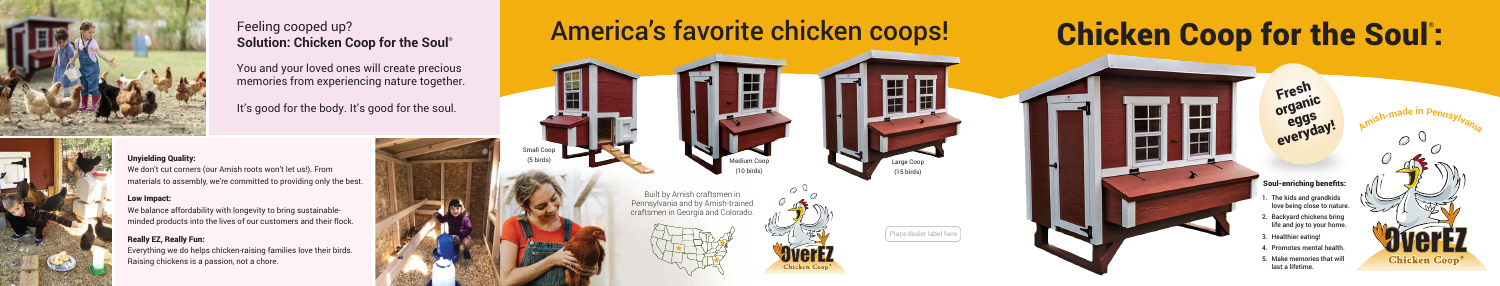Place dealer label here

# America's favorite chicken coops!

Small Coop



(5 birds) Medium Coop (10 birds)

Large Coop (15 birds)



Built by Amish craftsmen in Pennsylvania and by Amish-trained craftsmen in Georgia and Colorado.





- . The kids and grandkids love being close to nature.
- 2. Backyard chickens bring life and joy to your home.
- 3. Healthier eating!
- 4. Promotes mental health.
- 5. Make memories that will last a lifetime.

### **Soul-enriching benefits:**

**Fresh organic eggs** everyd<sub>r</sub>

# **Chicken Coop for the Soul ® :**





### Feeling cooped up? **Solution: Chicken Coop for the Soul®**

You and your loved ones will create precious memories from experiencing nature together.

It's good for the body. It's good for the soul.



### **Unyielding Quality:**

We don't cut corners (our Amish roots won't let us!). From materials to assembly, we're committed to providing only the best.

### **Low Impact:**

We balance affordability with longevity to bring sustainableminded products into the lives of our customers and their flock.

### **Really EZ, Really Fun:**

Everything we do helps chicken-raising families love their birds. Raising chickens is a passion, not a chore.